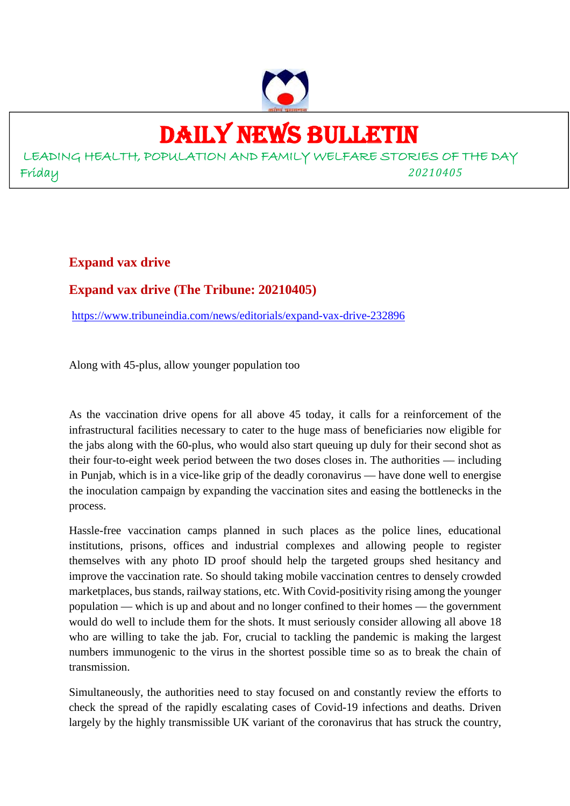### DAILY NEWS BULLETIN

LEADING HEALTH, POPULATION AND FAMILY WELFARE STORIES OF THE DAY Friday *20210405*

**Expand vax drive**

### **Expand vax drive (The Tribune: 20210405)**

https://www.tribuneindia.com/news/editorials/expand-vax-drive-232896

Along with 45-plus, allow younger population too

As the vaccination drive opens for all above 45 today, it calls for a reinforcement of the infrastructural facilities necessary to cater to the huge mass of beneficiaries now eligible for the jabs along with the 60-plus, who would also start queuing up duly for their second shot as their four-to-eight week period between the two doses closes in. The authorities — including in Punjab, which is in a vice-like grip of the deadly coronavirus — have done well to energise the inoculation campaign by expanding the vaccination sites and easing the bottlenecks in the process.

Hassle-free vaccination camps planned in such places as the police lines, educational institutions, prisons, offices and industrial complexes and allowing people to register themselves with any photo ID proof should help the targeted groups shed hesitancy and improve the vaccination rate. So should taking mobile vaccination centres to densely crowded marketplaces, bus stands, railway stations, etc. With Covid-positivity rising among the younger population — which is up and about and no longer confined to their homes — the government would do well to include them for the shots. It must seriously consider allowing all above 18 who are willing to take the jab. For, crucial to tackling the pandemic is making the largest numbers immunogenic to the virus in the shortest possible time so as to break the chain of transmission.

Simultaneously, the authorities need to stay focused on and constantly review the efforts to check the spread of the rapidly escalating cases of Covid-19 infections and deaths. Driven largely by the highly transmissible UK variant of the coronavirus that has struck the country,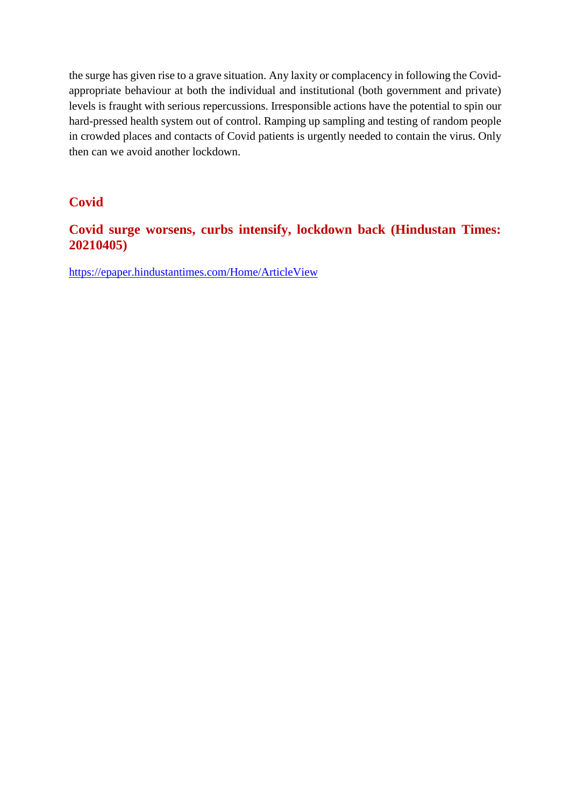the surge has given rise to a grave situation. Any laxity or complacency in following the Covidappropriate behaviour at both the individual and institutional (both government and private) levels is fraught with serious repercussions. Irresponsible actions have the potential to spin our hard-pressed health system out of control. Ramping up sampling and testing of random people in crowded places and contacts of Covid patients is urgently needed to contain the virus. Only then can we avoid another lockdown.

### **Covid**

### **Covid surge worsens, curbs intensify, lockdown back (Hindustan Times: 20210405)**

https://epaper.hindustantimes.com/Home/ArticleView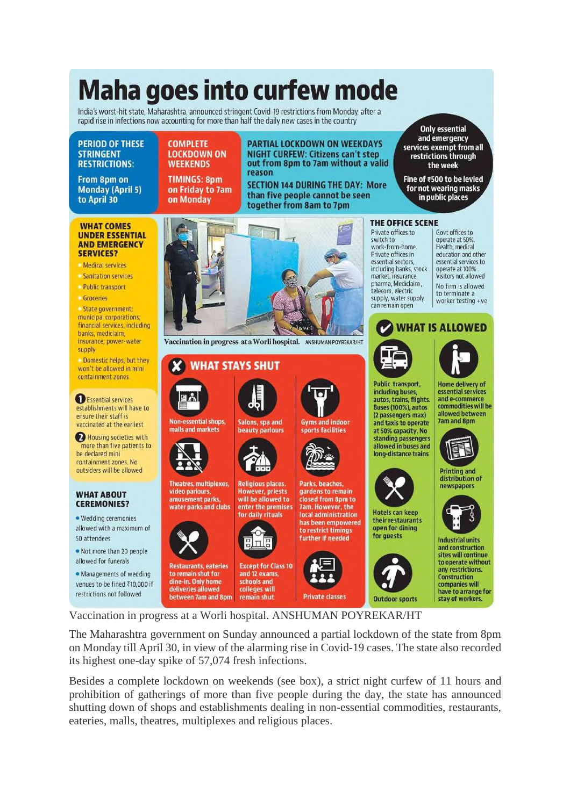### **Maha goes into curfew mode**

India's worst-hit state, Maharashtra, announced stringent Covid-19 restrictions from Monday, after a rapid rise in infections now accounting for more than half the daily new cases in the country

**COMPLETE** 

**WEEKENDS** 

on Monday

**LOCKDOWN ON** 

**TIMINGS: 8pm** 

on Friday to 7am

#### **PERIOD OF THESE STRINGENT RESTRICTIONS:**

From 8pm on **Monday (April 5)** to April 30

#### **WHAT COMES UNDER ESSENTIAL AND EMERGENCY**

- **SERVICES?**
- Medical services
- Sanitation services
- Public transport
- Groceries

State government; municipal corporations, financial services, including banks, mediclaim. insurance; power-water supply

Domestic helps, but they won't be allowed in mini containment zones

Essential services establishments will have to ensure their staff is vaccinated at the earliest

Housing societies with more than five patients to be declared mini containment zones. No outsiders will be allowed

#### **WHAT ABOUT CEREMONIES?**

· Wedding ceremonies allowed with a maximum of 50 attendees

. Not more than 20 people allowed for funerals

· Managements of wedding venues to be fined ₹10,000 if restrictions not followed



reason

Vaccination in progress at a Worli hospital. ANSHUMAN POYREKAR/HT

### **WHAT STAYS SHUT**

**Non-essential shops,** 

malls and markets

video parlours,

to remain shut for

dine-in. Only home

deliveries allowed

Salons, spa and beauty parlours



**Theatres, multiplexes, Religious places. However, priests** will be allowed to amusement parks water parks and clubs enter the premises for daily rituals



**Restaurants, eateries Except for Class 10** and 12 exams. schools and colleges will between 7am and 8pm remain shut



**PARTIAL LOCKDOWN ON WEEKDAYS** 

**NIGHT CURFEW: Citizens can't step** 

out from 8pm to 7am without a valid

**SECTION 144 DURING THE DAY: More** 

than five people cannot be seen

Parks, beaches, gardens to remain 7am. However, the to restrict timings



closed from 8pm to local administration has been empowered further if needed





**Only essential** and emergency services exempt from all restrictions through the week

Fine of ₹500 to be levied for not wearing masks in public places

#### THE OFFICE SCENE

Private offices to switch to work-from-home. Private offices in essential sectors. including banks, stock market, insurance, pharma, Mediclaim telecom electric supply, water supply can remain open

Govt offices to operate at 50%. Health, medical education and other essential services to operate at 100%. Visitors not allowed No firm is allowed to terminate a worker testing +ve





**Public transport.** including buses. autos, trains, flights. Buses (100%), autos (2 passengers max) and taxis to operate at 50% capacity. No standing passengers allowed in buses and long-distance trains



**Hotels can keep** their restaurants open for dining for quests



**Home delivery of** essential services and e-commerce commodities will be allowed between **Jam and 8pm** 



Printing and distribution of newspapers



**Industrial units** and construction sites will continue to operate without any restrictions. Construction companies will have to arrange for stay of workers.

Vaccination in progress at a Worli hospital. ANSHUMAN POYREKAR/HT

The Maharashtra government on Sunday announced a partial lockdown of the state from 8pm on Monday till April 30, in view of the alarming rise in Covid-19 cases. The state also recorded its highest one-day spike of 57,074 fresh infections.

Besides a complete lockdown on weekends (see box), a strict night curfew of 11 hours and prohibition of gatherings of more than five people during the day, the state has announced shutting down of shops and establishments dealing in non-essential commodities, restaurants, eateries, malls, theatres, multiplexes and religious places.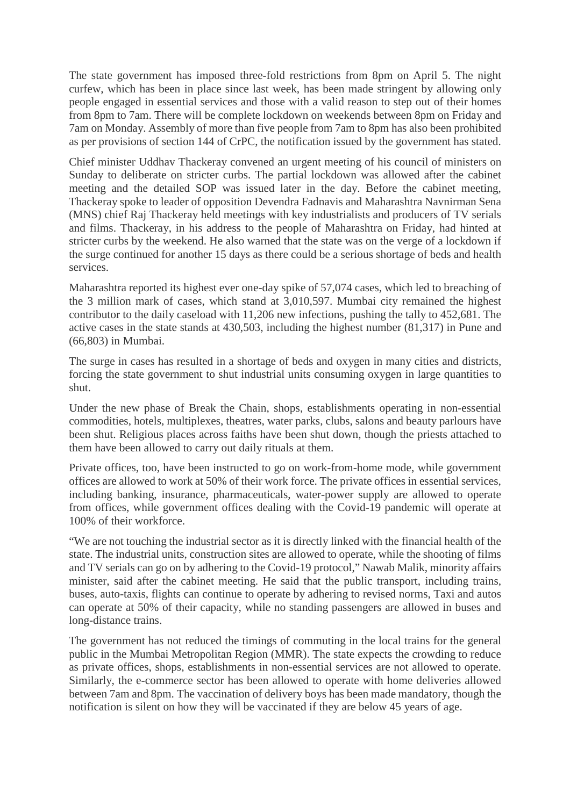The state government has imposed three-fold restrictions from 8pm on April 5. The night curfew, which has been in place since last week, has been made stringent by allowing only people engaged in essential services and those with a valid reason to step out of their homes from 8pm to 7am. There will be complete lockdown on weekends between 8pm on Friday and 7am on Monday. Assembly of more than five people from 7am to 8pm has also been prohibited as per provisions of section 144 of CrPC, the notification issued by the government has stated.

Chief minister Uddhav Thackeray convened an urgent meeting of his council of ministers on Sunday to deliberate on stricter curbs. The partial lockdown was allowed after the cabinet meeting and the detailed SOP was issued later in the day. Before the cabinet meeting, Thackeray spoke to leader of opposition Devendra Fadnavis and Maharashtra Navnirman Sena (MNS) chief Raj Thackeray held meetings with key industrialists and producers of TV serials and films. Thackeray, in his address to the people of Maharashtra on Friday, had hinted at stricter curbs by the weekend. He also warned that the state was on the verge of a lockdown if the surge continued for another 15 days as there could be a serious shortage of beds and health services.

Maharashtra reported its highest ever one-day spike of 57,074 cases, which led to breaching of the 3 million mark of cases, which stand at 3,010,597. Mumbai city remained the highest contributor to the daily caseload with 11,206 new infections, pushing the tally to 452,681. The active cases in the state stands at 430,503, including the highest number (81,317) in Pune and (66,803) in Mumbai.

The surge in cases has resulted in a shortage of beds and oxygen in many cities and districts, forcing the state government to shut industrial units consuming oxygen in large quantities to shut.

Under the new phase of Break the Chain, shops, establishments operating in non-essential commodities, hotels, multiplexes, theatres, water parks, clubs, salons and beauty parlours have been shut. Religious places across faiths have been shut down, though the priests attached to them have been allowed to carry out daily rituals at them.

Private offices, too, have been instructed to go on work-from-home mode, while government offices are allowed to work at 50% of their work force. The private offices in essential services, including banking, insurance, pharmaceuticals, water-power supply are allowed to operate from offices, while government offices dealing with the Covid-19 pandemic will operate at 100% of their workforce.

"We are not touching the industrial sector as it is directly linked with the financial health of the state. The industrial units, construction sites are allowed to operate, while the shooting of films and TV serials can go on by adhering to the Covid-19 protocol," Nawab Malik, minority affairs minister, said after the cabinet meeting. He said that the public transport, including trains, buses, auto-taxis, flights can continue to operate by adhering to revised norms, Taxi and autos can operate at 50% of their capacity, while no standing passengers are allowed in buses and long-distance trains.

The government has not reduced the timings of commuting in the local trains for the general public in the Mumbai Metropolitan Region (MMR). The state expects the crowding to reduce as private offices, shops, establishments in non-essential services are not allowed to operate. Similarly, the e-commerce sector has been allowed to operate with home deliveries allowed between 7am and 8pm. The vaccination of delivery boys has been made mandatory, though the notification is silent on how they will be vaccinated if they are below 45 years of age.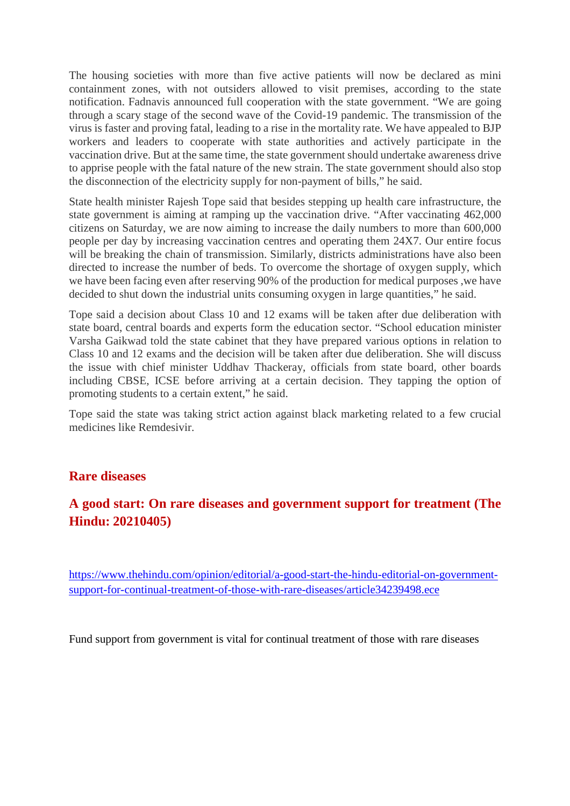The housing societies with more than five active patients will now be declared as mini containment zones, with not outsiders allowed to visit premises, according to the state notification. Fadnavis announced full cooperation with the state government. "We are going through a scary stage of the second wave of the Covid-19 pandemic. The transmission of the virus is faster and proving fatal, leading to a rise in the mortality rate. We have appealed to BJP workers and leaders to cooperate with state authorities and actively participate in the vaccination drive. But at the same time, the state government should undertake awareness drive to apprise people with the fatal nature of the new strain. The state government should also stop the disconnection of the electricity supply for non-payment of bills," he said.

State health minister Rajesh Tope said that besides stepping up health care infrastructure, the state government is aiming at ramping up the vaccination drive. "After vaccinating 462,000 citizens on Saturday, we are now aiming to increase the daily numbers to more than 600,000 people per day by increasing vaccination centres and operating them 24X7. Our entire focus will be breaking the chain of transmission. Similarly, districts administrations have also been directed to increase the number of beds. To overcome the shortage of oxygen supply, which we have been facing even after reserving 90% of the production for medical purposes ,we have decided to shut down the industrial units consuming oxygen in large quantities," he said.

Tope said a decision about Class 10 and 12 exams will be taken after due deliberation with state board, central boards and experts form the education sector. "School education minister Varsha Gaikwad told the state cabinet that they have prepared various options in relation to Class 10 and 12 exams and the decision will be taken after due deliberation. She will discuss the issue with chief minister Uddhav Thackeray, officials from state board, other boards including CBSE, ICSE before arriving at a certain decision. They tapping the option of promoting students to a certain extent," he said.

Tope said the state was taking strict action against black marketing related to a few crucial medicines like Remdesivir.

### **Rare diseases**

### **A good start: On rare diseases and government support for treatment (The Hindu: 20210405)**

https://www.thehindu.com/opinion/editorial/a-good-start-the-hindu-editorial-on-governmentsupport-for-continual-treatment-of-those-with-rare-diseases/article34239498.ece

Fund support from government is vital for continual treatment of those with rare diseases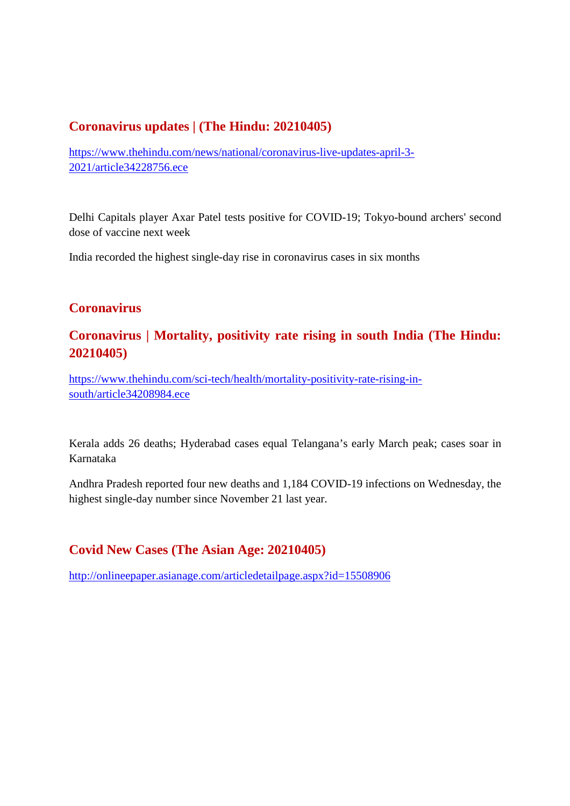### **Coronavirus updates | (The Hindu: 20210405)**

https://www.thehindu.com/news/national/coronavirus-live-updates-april-3- 2021/article34228756.ece

Delhi Capitals player Axar Patel tests positive for COVID-19; Tokyo-bound archers' second dose of vaccine next week

India recorded the highest single-day rise in coronavirus cases in six months

### **Coronavirus**

### **Coronavirus | Mortality, positivity rate rising in south India (The Hindu: 20210405)**

https://www.thehindu.com/sci-tech/health/mortality-positivity-rate-rising-insouth/article34208984.ece

Kerala adds 26 deaths; Hyderabad cases equal Telangana's early March peak; cases soar in Karnataka

Andhra Pradesh reported four new deaths and 1,184 COVID-19 infections on Wednesday, the highest single-day number since November 21 last year.

### **Covid New Cases (The Asian Age: 20210405)**

http://onlineepaper.asianage.com/articledetailpage.aspx?id=15508906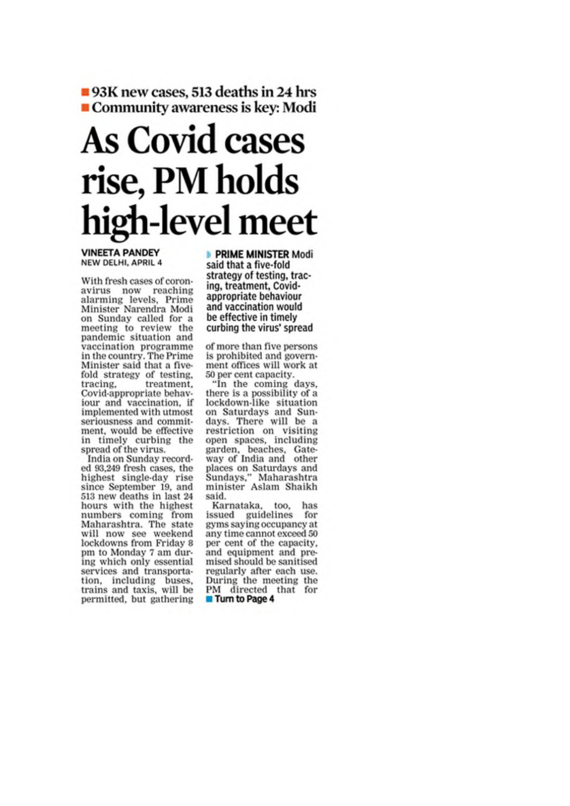93K new cases, 513 deaths in 24 hrs Community awareness is key: Modi

## **As Covid cases** rise, PM holds high-level meet

**VINEETA PANDEY** NEW DELHI, APRIL 4

With fresh cases of coronavirus now reaching alarming levels, Prime Minister Narendra Modi on Sunday called for a meeting to review the<br>pandemic situation and vaccination programme in the country. The Prime Minister said that a fivefold strategy of testing, tracing. treatment. Covid-appropriate behaviour and vaccination, if implemented with utmost seriousness and commitment, would be effective in timely curbing the spread of the virus.

India on Sunday recorded 93,249 fresh cases, the highest single-day rise since September 19, and 513 new deaths in last 24 hours with the highest numbers coming from Maharashtra. The state will now see weekend lockdowns from Friday 8 pm to Monday 7 am during which only essential services and transportation, including buses,<br>trains and taxis, will be permitted, but gathering

**PRIME MINISTER Modi** said that a five-fold strategy of testing, tracing, treatment, Covidappropriate behaviour and vaccination would be effective in timely curbing the virus' spread

of more than five persons is prohibited and government offices will work at 50 per cent capacity.

"In the coming days, there is a possibility of a<br>lockdown-like situation on Saturdays and Sundays. There will be a restriction on visiting open spaces, including garden, beaches, Gate-<br>way of India and other places on Saturdays and<br>Sundays," Maharashtra<br>minister Aslam Shaikh said.

Karnataka, too, has issued guidelines for gyms saying occupancy at any time cannot exceed 50 per cent of the capacity. and equipment and premised should be sanitised regularly after each use. During the meeting the PM directed that for **Turn to Page 4**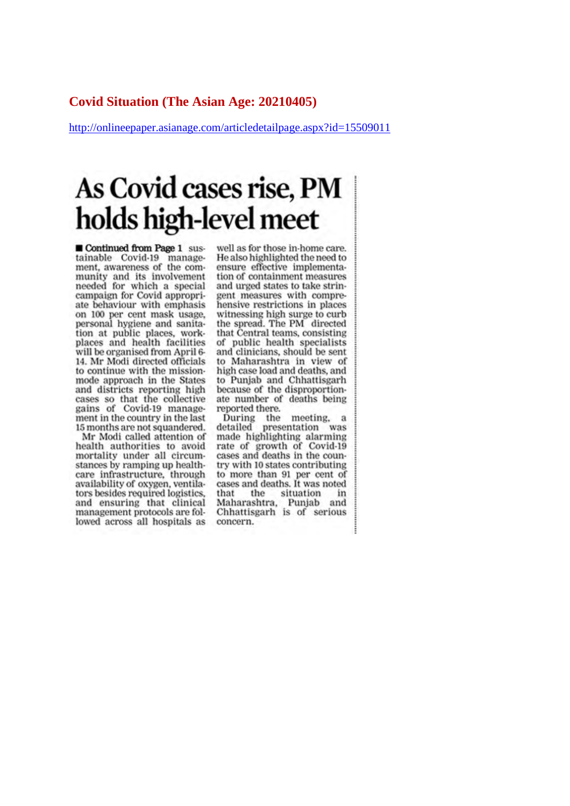### **Covid Situation (The Asian Age: 20210405)**

http://onlineepaper.asianage.com/articledetailpage.aspx?id=15509011

### As Covid cases rise, PM holds high-level meet

Continued from Page 1 sustainable Covid-19 management, awareness of the community and its involvement needed for which a special campaign for Covid appropriate behaviour with emphasis on 100 per cent mask usage. personal hygiene and sanitation at public places, workplaces and health facilities will be organised from April 6-14. Mr Modi directed officials to continue with the missionmode approach in the States and districts reporting high cases so that the collective gains of Covid-19 management in the country in the last 15 months are not squandered.

Mr Modi called attention of health authorities to avoid mortality under all circumstances by ramping up healthcare infrastructure, through availability of oxygen, ventilators besides required logistics, and ensuring that clinical management protocols are followed across all hospitals as

well as for those in-home care. He also highlighted the need to ensure effective implementation of containment measures and urged states to take stringent measures with comprehensive restrictions in places witnessing high surge to curb the spread. The PM directed that Central teams, consisting of public health specialists and clinicians, should be sent to Maharashtra in view of high case load and deaths, and to Punjab and Chhattisgarh because of the disproportionate number of deaths being reported there.

During the meeting, a detailed presentation was made highlighting alarming rate of growth of Covid-19 cases and deaths in the country with 10 states contributing to more than 91 per cent of cases and deaths. It was noted that the situation in Maharashtra, Punjab and Chhattisgarh is of serious concern.

i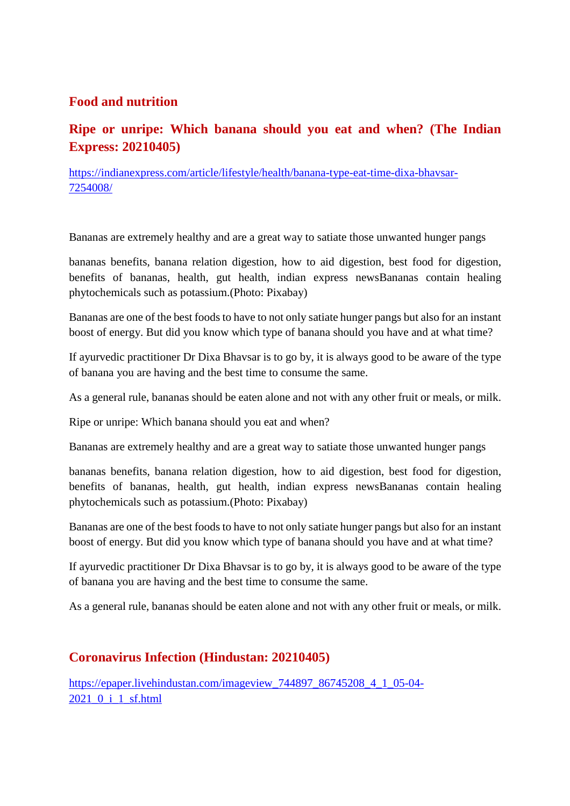### **Food and nutrition**

### **Ripe or unripe: Which banana should you eat and when? (The Indian Express: 20210405)**

https://indianexpress.com/article/lifestyle/health/banana-type-eat-time-dixa-bhavsar-7254008/

Bananas are extremely healthy and are a great way to satiate those unwanted hunger pangs

bananas benefits, banana relation digestion, how to aid digestion, best food for digestion, benefits of bananas, health, gut health, indian express newsBananas contain healing phytochemicals such as potassium.(Photo: Pixabay)

Bananas are one of the best foods to have to not only satiate hunger pangs but also for an instant boost of energy. But did you know which type of banana should you have and at what time?

If ayurvedic practitioner Dr Dixa Bhavsar is to go by, it is always good to be aware of the type of banana you are having and the best time to consume the same.

As a general rule, bananas should be eaten alone and not with any other fruit or meals, or milk.

Ripe or unripe: Which banana should you eat and when?

Bananas are extremely healthy and are a great way to satiate those unwanted hunger pangs

bananas benefits, banana relation digestion, how to aid digestion, best food for digestion, benefits of bananas, health, gut health, indian express newsBananas contain healing phytochemicals such as potassium.(Photo: Pixabay)

Bananas are one of the best foods to have to not only satiate hunger pangs but also for an instant boost of energy. But did you know which type of banana should you have and at what time?

If ayurvedic practitioner Dr Dixa Bhavsar is to go by, it is always good to be aware of the type of banana you are having and the best time to consume the same.

As a general rule, bananas should be eaten alone and not with any other fruit or meals, or milk.

### **Coronavirus Infection (Hindustan: 20210405)**

https://epaper.livehindustan.com/imageview\_744897\_86745208\_4\_1\_05-04-2021\_0\_i\_1\_sf.html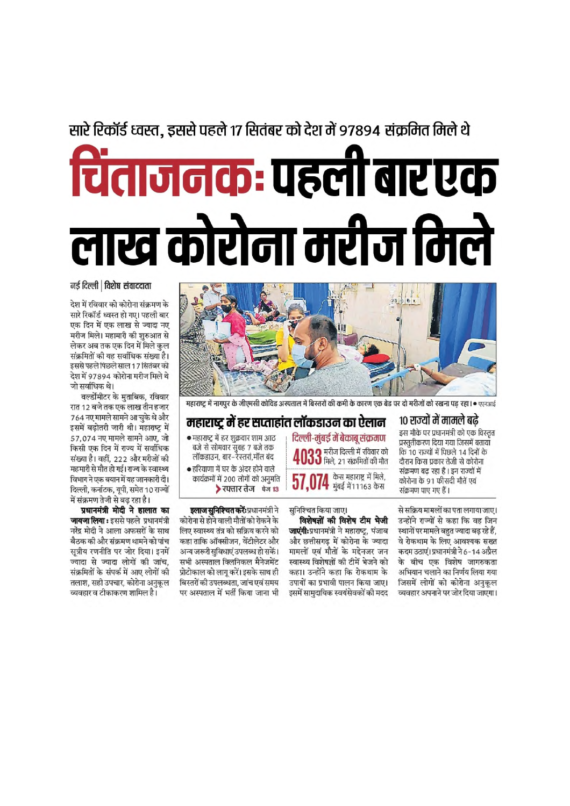### सारे रिकॉर्ड ध्वस्त, इससे पहले 17 सितंबर को देश में 97894 संक्रमित मिले थे

## चिंताजनकः पहली बार एक लाख कोरोना मरीज मिले

नई दिल्ली | विशेष संवाददाता

देश में रविवार को कोरोना संक्रमण के सारे रिकॉर्ड ध्वस्त हो गए। पहली बार एक दिन में एक लाख से ज्यादा नए मरीज मिले। महामारी की शुरुआत से लेकर अब तक एक दिन में मिले कुल संक्रमितों की यह सर्वाधिक संख्या है। इससे पहले पिछले साल 17 सितंबर को देश में 97894 कोरोना मरीज मिले थे जो सर्वाधिक थे।

वर्ल्डोमीटर के मुताबिक, रविवार रात 12 बजे तक एक लाख तीन हजार 764 नए मामले सामने आ चुके थे और इसमें बढोतरी जारी थी। महाराष्ट में 57,074 नए मामले सामने आए, जो किसी एक दिन में राज्य में सर्वाधिक संख्या है। वहीं, 222 और मरीजों की महमारी से मौत हो गई। राज्य के स्वास्थ्य विभाग ने एक बयान में यह जानकारी दी। दिल्ली, कर्नाटक, युपी, समेत 10 राज्यों में संक्रमण तेजी से बढ रहा है।

प्रधानमंत्री मोदी ने हालात का **जायजा लिया** : इससे पहले प्रधानमंत्री नरेंद्र मोदी ने आला अफसरों के साथ बैठक की और संक्रमण थामने को पांच सत्रीय रणनीति पर जोर दिया। इनमें ज्यादा से ज्यादा लोगों की जांच. संक्रमितों के संपर्क में आए लोगों की तलाश. सही उपचार. कोरोना अनुकल व्यवहार व टीकाकरण शामिल है।



महाराष्ट्र में नागपुर के जीएमसी कोविड अस्पताल में बिस्तरों की कमी के कारण एक बेड पर दो मरीजों को रखना पड रहा। • एएनआई

### महाराष्ट्र में हर सप्ताहांत लॉकडाउन का ऐलान

- महाराष्ट्र में हर शुक्रवार शाम आठ ालसञ्चल राज्य सुबह ७ बजे तक<br>बजे से सोमवार सुबह ७ बजे तक<br>लॉकडाउन, बार–रेस्तरां,मॉल बंद
- हरियाणा में घर के अंदर होने वाले कार्यक्रमों में 200 लोगों को अनुमति ▶ रफ्तार तेज के 13

**इलाज सुनिश्चित करें:** प्रधानमंत्री ने कोरोना से होने वाली मौतों को रोकने के लिए स्वास्थ्य तंत्र को सक्रिय करने को कहा ताकि ऑक्सीजन, वेंटीलेटर और अन्य जरूरी सुविधाएं उपलब्ध हो सकें। सभी अस्पताल क्लिनिकल मैनेजमेंट प्रोटोकाल को लागू करें। इसके साथ ही बिस्तरों की उपलब्धता. जांच एवं समय पर अस्पताल में भर्ती किया जाना भी दिल्ली-मुंबई में बेकाबू संक्रमण 00 मरीज दिल्ली में रविवार को  $\mathbf{J} \mathbf{J}$  मिले, 21 संक्रमितों की मौत केस महाराष्ट्र में मिले,

 ${\bf 57,074}$  कुंस महाराष्ट्र म मिल,

सनिश्चित किया जाए।

विशेषज्ञों की विशेष टीम भेजी **जाएंगी:**प्रधानमंत्री ने महाराष्ट्र, पंजाब और छत्तीसगढ़ में कोरोना के ज्यादा मामलों एवं मौतों के मद्देनजर जन स्वास्थ्य विशेषज्ञों की टीमें भेजने को कहा। उन्होंने कहा कि रोकथाम के उपायों का प्रभावी पालन किया जाए। इसमें सामुदायिक स्वयंसेवकों की मदद

#### १० राज्यों में मामले बढे

इस मौके पर प्रधानमंत्री को एक विस्तृत प्रस्तुतीकरण दिया गया जिसमें बतायाँ कि 10 राज्यों में पिछले 14 दिनों के दौरान किस प्रकार तेजी से कोरोना संक्रमण बढ रहा है। इन राज्यों में कोरोना के 91 फीसदी मौतें एवं संक्रमण पाए गए हैं।

से सक्रिय मामलों का पता लगाया जाए। उन्होंने राज्यों से कहा कि वह जिन स्थानों पर मामले बहुत ज्यादा बढ़ रहे हैं, वे रोकथाम के लिए आवश्यक सख्त कदम उठाएं। प्रधानमंत्री ने 6-14 अप्रैल के बीच एक विशेष जागरुकता अभियान चलाने का निर्णय लिया गया जिसमें लोगों को कोरोना अनकल व्यवहार अपनाने पर जोर दिया जाएगा।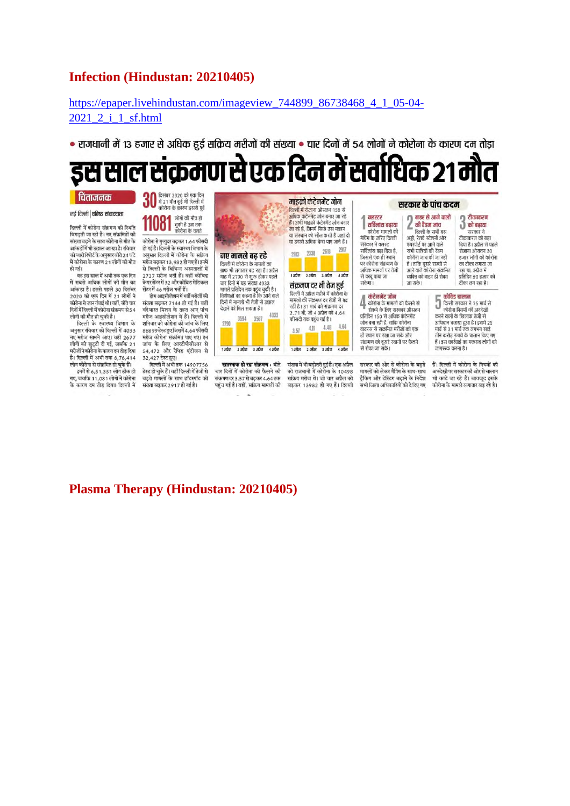### **Infection (Hindustan: 20210405)**

### https://epaper.livehindustan.com/imageview\_744899\_86738468\_4\_1\_05-04- 2021 2 i 1 sf.html

• राजधानी में 13 हजार से अधिक हर्ड सक्रिय मरीजों की संख्या • चार दिनों में 54 लोगों ने कोरोना के कारण दम तोड़ा

#### से एक दिन में सर्वाधिक २१ ग ٠ cbd

#### दिसंबर २०२० को एक दिन र्चिताजनक 30 म्पसंबर 2020 का रक मन<br>में 21 मौत हुई थी दिल्ली में<br>कोरोना के कारण इससे पूर्व माइक्रो कंटेनमेंट जोन सरकार के पांच कदम दिल्ली में रोजाना औसतन 150 से नई दिल्ली | वरिष्ट संवाददाता ा<br>|} टीकाकरण<br>|} को बढ़ाया **081** सोगों की मौत हो<br>बाकी है अब तक<br>कोरोना के चलते क्लस्टर<br>सर्विलांस बढाया बाहर से आने वालों अधिक कंटेनमेंट जोन बनाए जा रहे हैं। अभी माडको कंटेनमेंट जोन बनाए े की रैंडन जांच I टिल्ली में कोरोना संक्रमण की स्थिति हा अन्ना नाइफ़ा फेटनगट जान बना<br>जा रहे हैं, जिनमें सिर्फ उस मकान कोरोना मामलों की दिल्ली के सभी बस सरकार ने बिगड़ती जा रही है। नए संक्रमितों की या संस्थान को सील करते हैं जहां दो मानना का<br>मैपिंग के जरिए दिल्ली राख्यार न<br>टीकाकरण को बढ़ा .<br>अहॉ. रेलवे स्टेशनों और कोरोना से मृत्युदर बढ़कर 1.64 फीसदी संख्या बढ़ने के साथ कोरोना से मौत के या उससे अधिक कैस पाए जाते हैं। जहा, रसप रहस्ता जा<br>एयरपोर्ट पर आने वाले<br>सभी यात्रियों की रैंडम दिया है । अप्रैल से पहले<br>रिया है । अप्रैल से पहले<br>रोजाना औसतन 30 .<br>सरकार ने क्लस्ट नाराया है। दिल्ली के स्वास्थ्य विभाग के .<br>आंकडों में भी उछाल आ सा है। रविवार 2338 2618 2917 .<br>सर्विलांस बढा दिया है, ल गई है। दिल्ली में कोरोना के सक्रिय<br>अनुसार दिल्ली में कोरोना के सक्रिय 2022 को जारी रिपोर्ट के अनुसार बीते 24 घंटे नए मामले बढ रहे जिससे एक ही स्थान कोरोमा जांच की जा रही इ.स.र लोगों को कोरोना में कोरोना के कारण 21 लोगों की मौत मरीज बढकर 13.982 हो गए हैं।इनमें पर कोरोना संक्रमण के .<br>दिल्ली में कोरोना के मामलों का है। ताकि दूसरे राज्यों से का टीका लगाया जा न्तजनकुकाः 13,782 हानदहाइनन<br>से दिल्ली के विभिन्न अस्पतालों में<br>2727 मरीज भर्ती हैं। वहीं कोविड हो गई। गाफ भी लगातार बढ़ रहा है। अप्रैल अधिक मामलों पर तेजी आने वाले कोरोना संक्रमित रहा था. अप्रैल में ...<br>यह इस साल में अभी तक एक दिन 1 अप्रैल 2 अप्रैल 3 अप्रैल 4 अप्रैल जाक ना रानातार बढ़े रहा है। इतरा<br>माह में 2790 से शुरू होकर पहले<br>चार दिनों में यह संख्या 4033 से काबू पाया जा व्यक्ति को बाहर ही रोका रत पा, जारत न<br>प्रतिदिन 50 हजार को<br>टीका लग रहा है। में सबसे अधिक लोगों की मौत का केयरसेंटर में 32 और कोविड मेडिकल जा सकें। सकेगा। संक्रमण दर भी तेज हुई यार दिना न पह सख्या 4033<br>मामले प्रतिदिन तक पहुंच चुकी है।<br>विशेषज्ञों का कहना है कि आने वाले<br>दिनों में मामलों भी तेजी से उछाल आंकड़ा है। इससे पहले 30 दिसंबर मेंटर में 46 मरीज भर्ती हैं। दिल्ली में अप्रैल महीने में कोरोना के 2020 को एक दिन में 21 लोगों ने होम आइसोलेशन में भर्ती मरीजों की कंटेनमेंट जोन कोविड चालान ि कोविड चालान<br>हिल्ली सरकार ने 25 मार्च से<br>करने वालों के रिवलाफ तेजी से<br>करने वालों के रिवलाफ तेजी से 4 मामलों की संक्रमण दर तेजी से बढ संख्या बढ़कर 7144 हो गई है। वहीं<br>वदेभारत मिशन के तहत आए पांच कोरोना के मामलों को फैलने से<br>रोकने के लिए सरकार औसतन कोरोना से जान गंवाई थी। वहीं । बीते चार नानला का सक्रमण पर तथा से पर<br>रही है | 31 मार्च को संक्रमण दर<br>2 .71 थी, जो 4 अप्रैल को 4 .64 काराना से जान नवाई था। वहा, बात चार<br>दिनों में दिल्ली में कोरोना संक्रमण से 54 देखने को मिल सकता है। 4033 प्रतिदिन 150 से अधिक कंटेनमेंट लोगों की मौत हो चुकी है। मरीज आइसोलेशन में हैं। दिल्ली में करने वालों के रिवलाफ तेज़ी से 3567 1958 फीसदी तक पहुंच गई है। ा ना नालत चुना है।<br>दिल्ली के स्वास्थ्य विभाग के शनिवार को कोरोना की जांच के लिए जोन बना रही है, ताकि कोरोना - २१२ वाला व एउटा में गाया।<br>अभियान चलाया हुआ है । इसमें 25 9798 184 4.48  $4.11$ अनुसार रविवार को दिल्ली में 4033 सारमार का माराना मन जाय काराए<br>86899 टेस्ट हुए जिसमें 4.64 फीसदी<br>मरीज कोरोना संक्रमित पाए गए। इन  $3.57$ वायरस से संक्रमित मरीजों को एक मार्च से ३१ मार्च तक लगभग साढे नावरस्स संस्कृतसम्मानस्य का एक<br>ही स्थान पर रखा जा सके और<br>संक्रमण को दूसरे स्थानों पर फैलने ानि करोड़ रुपये के चालान किए गए<br>तीन करोड़ रुपये के चालान किए गए<br>हैं । इस कार्रवाई का मकसद लोगों को नए मरीज सामने आए। वहीं 2677 नतन कारण सक्रानत गए गए।<br>जांच के लिए आरटीपीसीआर से<br>54,472 और रैपिड एंटीजन से लोगों को छुट्टी दी गई, जबकि 21  $\frac{1}{1.300}$  $2300$  $3.300$  $1.300$  $2300$  $3 - 3<sup>th</sup>$  $1.30$ से रोका जा सके। जमारूक करना है। मरीजों ने कोरोना के कारण दम तोड़ दिया है। दिल्ली में अभी तक 6,76,414 32,427 टेस्ट हुए। हैं। टिल्ली में कोरोना के नियमों की सरकार की ओर से कोरोना के बदते लोग कोरोना से संक्रमित हो चुके हैं। टिल्ली में अभी तक 14907756 **खतरनाक हो रहा संक्रमण :** बीते संख्या में भी बढ़ोतरी हुई है। एक अप्रैल इनमें से 6,51,351 लोग ठीक हो .<br>टेस्ट हो चुके हैं। वहीं दिल्ली में तेजी से चार दिनों में कोरोना की फैलने की को राजधानी में कोरोना के 10498 मामलों को लेकर मैपिंग के साथ-साथ जनवखा गरसदाल का जारस वालान<br>भी काटे जा रहे हैं। बावजूद इसके .<br>गए, जबकि 11,081 लोगों ने कोरोना<br>के कारण दम तोड़ दिया। दिल्ली में ट्रैकिंग और टेस्टिंग बढ़ाने के निर्देश<br>सभी जिला अधिकारियों को दे दिए गए बढते मामलों के साथ हॉटस्पॉट की संक्रमण दर २ ५७ से बढकर 4.64 तक सकिय सरीज़ थे। जो चार अपैल को संख्या बढकर 2917 हो गई है। पहुंच गई है। वहीं, सक्रिय मामलों की बढ़कर 13982 हो गए हैं। दिल्ली कोरोना के मामले लगातार बढ़ रहे हैं।

**Plasma Therapy (Hindustan: 20210405)**